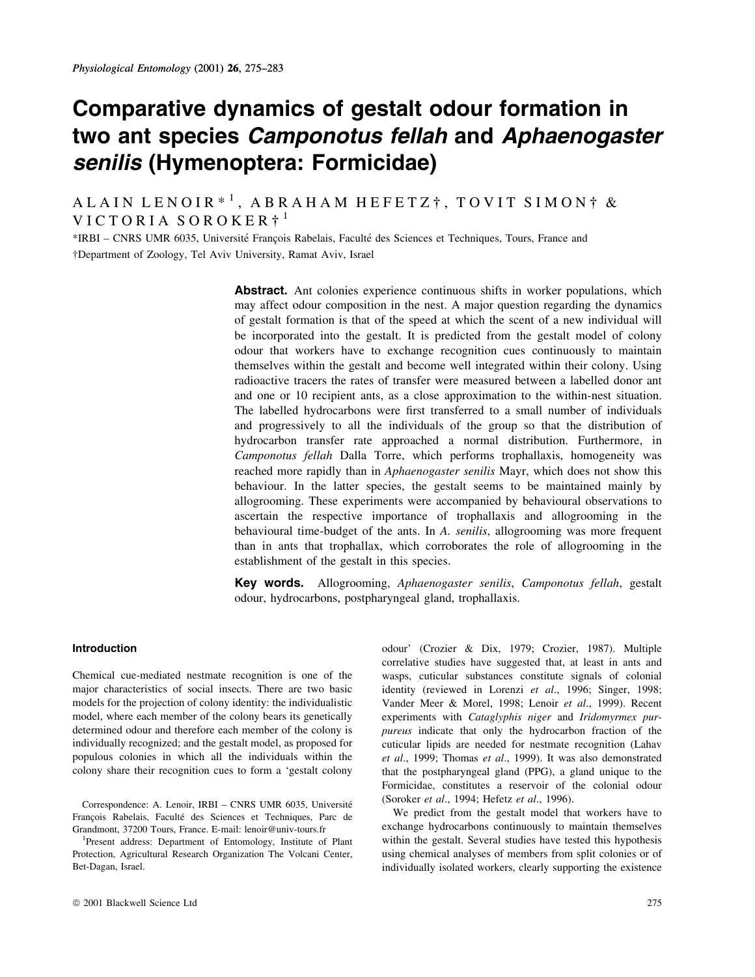# Comparative dynamics of gestalt odour formation in two ant species Camponotus fellah and Aphaenogaster senilis (Hymenoptera: Formicidae)

ALAIN LENOIR \*<sup>1</sup>, ABRAHAM HEFETZ†, TOVIT SIMON† & VICTORIA SOROKER ² <sup>1</sup>

\*IRBI - CNRS UMR 6035, Université François Rabelais, Faculté des Sciences et Techniques, Tours, France and ²Department of Zoology, Tel Aviv University, Ramat Aviv, Israel

> Abstract. Ant colonies experience continuous shifts in worker populations, which may affect odour composition in the nest. A major question regarding the dynamics of gestalt formation is that of the speed at which the scent of a new individual will be incorporated into the gestalt. It is predicted from the gestalt model of colony odour that workers have to exchange recognition cues continuously to maintain themselves within the gestalt and become well integrated within their colony. Using radioactive tracers the rates of transfer were measured between a labelled donor ant and one or 10 recipient ants, as a close approximation to the within-nest situation. The labelled hydrocarbons were first transferred to a small number of individuals and progressively to all the individuals of the group so that the distribution of hydrocarbon transfer rate approached a normal distribution. Furthermore, in Camponotus fellah Dalla Torre, which performs trophallaxis, homogeneity was reached more rapidly than in Aphaenogaster senilis Mayr, which does not show this behaviour. In the latter species, the gestalt seems to be maintained mainly by allogrooming. These experiments were accompanied by behavioural observations to ascertain the respective importance of trophallaxis and allogrooming in the behavioural time-budget of the ants. In A. senilis, allogrooming was more frequent than in ants that trophallax, which corroborates the role of allogrooming in the establishment of the gestalt in this species.

> Key words. Allogrooming, Aphaenogaster senilis, Camponotus fellah, gestalt odour, hydrocarbons, postpharyngeal gland, trophallaxis.

# Introduction

Chemical cue-mediated nestmate recognition is one of the major characteristics of social insects. There are two basic models for the projection of colony identity: the individualistic model, where each member of the colony bears its genetically determined odour and therefore each member of the colony is individually recognized; and the gestalt model, as proposed for populous colonies in which all the individuals within the colony share their recognition cues to form a `gestalt colony

Correspondence: A. Lenoir, IRBI - CNRS UMR 6035, Université François Rabelais, Faculté des Sciences et Techniques, Parc de Grandmont, 37200 Tours, France. E-mail: lenoir@univ-tours.fr <sup>1</sup>

<sup>1</sup>Present address: Department of Entomology, Institute of Plant Protection, Agricultural Research Organization The Volcani Center, Bet-Dagan, Israel.

odour' (Crozier & Dix, 1979; Crozier, 1987). Multiple correlative studies have suggested that, at least in ants and wasps, cuticular substances constitute signals of colonial identity (reviewed in Lorenzi et al., 1996; Singer, 1998; Vander Meer & Morel, 1998; Lenoir et al., 1999). Recent experiments with Cataglyphis niger and Iridomyrmex purpureus indicate that only the hydrocarbon fraction of the cuticular lipids are needed for nestmate recognition (Lahav et al., 1999; Thomas et al., 1999). It was also demonstrated that the postpharyngeal gland (PPG), a gland unique to the Formicidae, constitutes a reservoir of the colonial odour (Soroker et al., 1994; Hefetz et al., 1996).

We predict from the gestalt model that workers have to exchange hydrocarbons continuously to maintain themselves within the gestalt. Several studies have tested this hypothesis using chemical analyses of members from split colonies or of individually isolated workers, clearly supporting the existence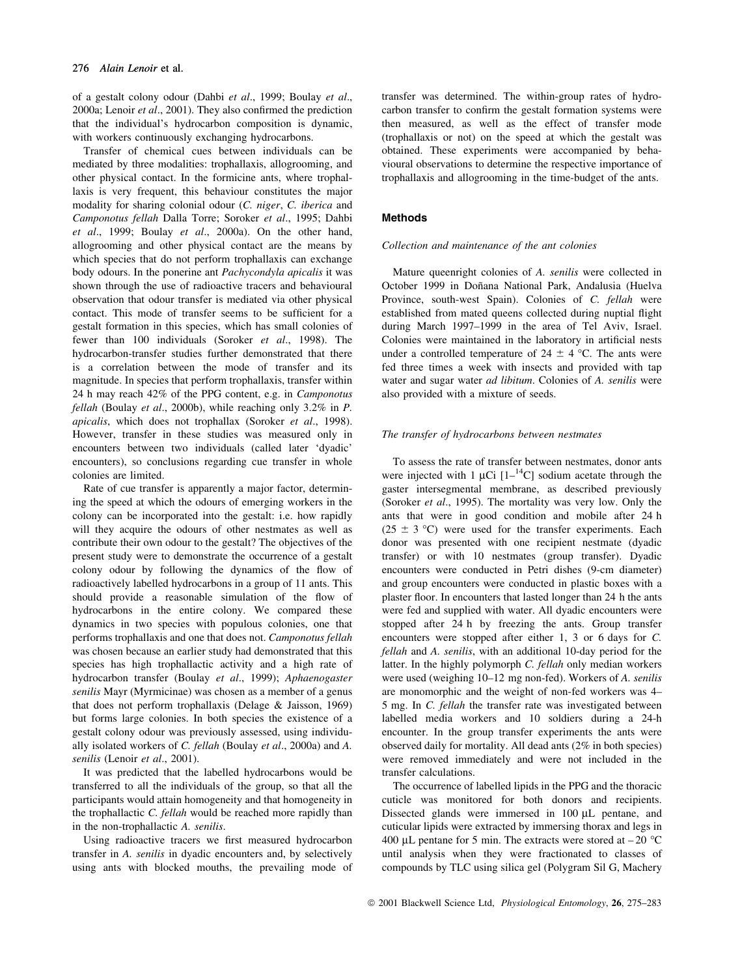of a gestalt colony odour (Dahbi et al., 1999; Boulay et al., 2000a; Lenoir  $et al., 2001$ ). They also confirmed the prediction that the individual's hydrocarbon composition is dynamic, with workers continuously exchanging hydrocarbons.

Transfer of chemical cues between individuals can be mediated by three modalities: trophallaxis, allogrooming, and other physical contact. In the formicine ants, where trophallaxis is very frequent, this behaviour constitutes the major modality for sharing colonial odour (C. niger, C. iberica and Camponotus fellah Dalla Torre; Soroker et al., 1995; Dahbi et al., 1999; Boulay et al., 2000a). On the other hand, allogrooming and other physical contact are the means by which species that do not perform trophallaxis can exchange body odours. In the ponerine ant Pachycondyla apicalis it was shown through the use of radioactive tracers and behavioural observation that odour transfer is mediated via other physical contact. This mode of transfer seems to be sufficient for a gestalt formation in this species, which has small colonies of fewer than 100 individuals (Soroker et al., 1998). The hydrocarbon-transfer studies further demonstrated that there is a correlation between the mode of transfer and its magnitude. In species that perform trophallaxis, transfer within 24 h may reach 42% of the PPG content, e.g. in Camponotus fellah (Boulay et al., 2000b), while reaching only 3.2% in P. apicalis, which does not trophallax (Soroker et al., 1998). However, transfer in these studies was measured only in encounters between two individuals (called later `dyadic' encounters), so conclusions regarding cue transfer in whole colonies are limited.

Rate of cue transfer is apparently a major factor, determining the speed at which the odours of emerging workers in the colony can be incorporated into the gestalt: i.e. how rapidly will they acquire the odours of other nestmates as well as contribute their own odour to the gestalt? The objectives of the present study were to demonstrate the occurrence of a gestalt colony odour by following the dynamics of the flow of radioactively labelled hydrocarbons in a group of 11 ants. This should provide a reasonable simulation of the flow of hydrocarbons in the entire colony. We compared these dynamics in two species with populous colonies, one that performs trophallaxis and one that does not. Camponotus fellah was chosen because an earlier study had demonstrated that this species has high trophallactic activity and a high rate of hydrocarbon transfer (Boulay et al., 1999); Aphaenogaster senilis Mayr (Myrmicinae) was chosen as a member of a genus that does not perform trophallaxis (Delage & Jaisson, 1969) but forms large colonies. In both species the existence of a gestalt colony odour was previously assessed, using individually isolated workers of C. fellah (Boulay et al., 2000a) and A. senilis (Lenoir et al., 2001).

It was predicted that the labelled hydrocarbons would be transferred to all the individuals of the group, so that all the participants would attain homogeneity and that homogeneity in the trophallactic C. fellah would be reached more rapidly than in the non-trophallactic A. senilis.

Using radioactive tracers we first measured hydrocarbon transfer in A. senilis in dyadic encounters and, by selectively using ants with blocked mouths, the prevailing mode of transfer was determined. The within-group rates of hydrocarbon transfer to confirm the gestalt formation systems were then measured, as well as the effect of transfer mode (trophallaxis or not) on the speed at which the gestalt was obtained. These experiments were accompanied by behavioural observations to determine the respective importance of trophallaxis and allogrooming in the time-budget of the ants.

# Methods

#### Collection and maintenance of the ant colonies

Mature queenright colonies of A. senilis were collected in October 1999 in Doñana National Park, Andalusia (Huelva Province, south-west Spain). Colonies of C. fellah were established from mated queens collected during nuptial flight during March 1997-1999 in the area of Tel Aviv, Israel. Colonies were maintained in the laboratory in artificial nests under a controlled temperature of  $24 \pm 4$  °C. The ants were fed three times a week with insects and provided with tap water and sugar water *ad libitum*. Colonies of A. senilis were also provided with a mixture of seeds.

#### The transfer of hydrocarbons between nestmates

To assess the rate of transfer between nestmates, donor ants were injected with 1  $\mu$ Ci [1<sup>-14</sup>C] sodium acetate through the gaster intersegmental membrane, as described previously (Soroker et al., 1995). The mortality was very low. Only the ants that were in good condition and mobile after 24 h (25  $\pm$  3 °C) were used for the transfer experiments. Each donor was presented with one recipient nestmate (dyadic transfer) or with 10 nestmates (group transfer). Dyadic encounters were conducted in Petri dishes (9-cm diameter) and group encounters were conducted in plastic boxes with a plaster floor. In encounters that lasted longer than 24 h the ants were fed and supplied with water. All dyadic encounters were stopped after 24 h by freezing the ants. Group transfer encounters were stopped after either 1, 3 or 6 days for C. fellah and A. senilis, with an additional 10-day period for the latter. In the highly polymorph C. fellah only median workers were used (weighing 10-12 mg non-fed). Workers of A. senilis are monomorphic and the weight of non-fed workers was 4-5 mg. In C. fellah the transfer rate was investigated between labelled media workers and 10 soldiers during a 24-h encounter. In the group transfer experiments the ants were observed daily for mortality. All dead ants (2% in both species) were removed immediately and were not included in the transfer calculations.

The occurrence of labelled lipids in the PPG and the thoracic cuticle was monitored for both donors and recipients. Dissected glands were immersed in  $100 \mu L$  pentane, and cuticular lipids were extracted by immersing thorax and legs in 400 µL pentane for 5 min. The extracts were stored at  $-20$  °C until analysis when they were fractionated to classes of compounds by TLC using silica gel (Polygram Sil G, Machery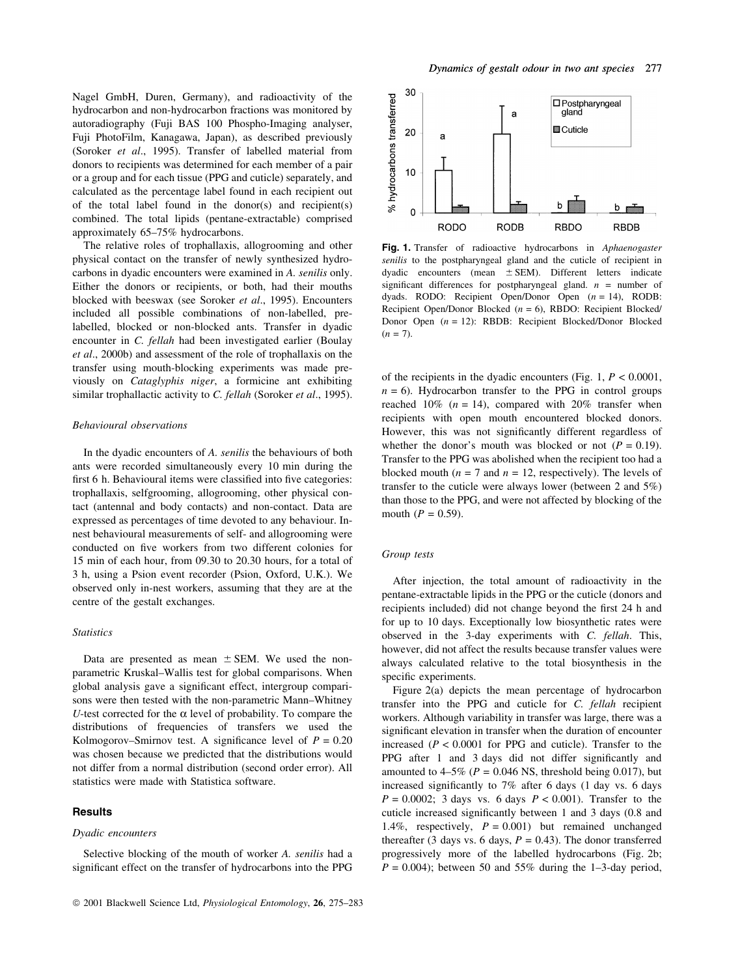Nagel GmbH, Duren, Germany), and radioactivity of the hydrocarbon and non-hydrocarbon fractions was monitored by autoradiography (Fuji BAS 100 Phospho-Imaging analyser, Fuji PhotoFilm, Kanagawa, Japan), as described previously (Soroker et al., 1995). Transfer of labelled material from donors to recipients was determined for each member of a pair or a group and for each tissue (PPG and cuticle) separately, and calculated as the percentage label found in each recipient out of the total label found in the donor(s) and recipient(s) combined. The total lipids (pentane-extractable) comprised approximately 65-75% hydrocarbons.

The relative roles of trophallaxis, allogrooming and other physical contact on the transfer of newly synthesized hydrocarbons in dyadic encounters were examined in A. senilis only. Either the donors or recipients, or both, had their mouths blocked with beeswax (see Soroker et al., 1995). Encounters included all possible combinations of non-labelled, prelabelled, blocked or non-blocked ants. Transfer in dyadic encounter in C. fellah had been investigated earlier (Boulay et al., 2000b) and assessment of the role of trophallaxis on the transfer using mouth-blocking experiments was made previously on Cataglyphis niger, a formicine ant exhibiting similar trophallactic activity to C. fellah (Soroker et al., 1995).

#### Behavioural observations

In the dyadic encounters of A. senilis the behaviours of both ants were recorded simultaneously every 10 min during the first 6 h. Behavioural items were classified into five categories: trophallaxis, selfgrooming, allogrooming, other physical contact (antennal and body contacts) and non-contact. Data are expressed as percentages of time devoted to any behaviour. Innest behavioural measurements of self- and allogrooming were conducted on five workers from two different colonies for 15 min of each hour, from 09.30 to 20.30 hours, for a total of 3 h, using a Psion event recorder (Psion, Oxford, U.K.). We observed only in-nest workers, assuming that they are at the centre of the gestalt exchanges.

# **Statistics**

Data are presented as mean  $\pm$  SEM. We used the nonparametric Kruskal–Wallis test for global comparisons. When global analysis gave a significant effect, intergroup comparisons were then tested with the non-parametric Mann-Whitney U-test corrected for the  $\alpha$  level of probability. To compare the distributions of frequencies of transfers we used the Kolmogorov–Smirnov test. A significance level of  $P = 0.20$ was chosen because we predicted that the distributions would not differ from a normal distribution (second order error). All statistics were made with Statistica software.

## **Results**

#### Dyadic encounters

Selective blocking of the mouth of worker A. senilis had a significant effect on the transfer of hydrocarbons into the PPG



Fig. 1. Transfer of radioactive hydrocarbons in Aphaenogaster senilis to the postpharyngeal gland and the cuticle of recipient in dyadic encounters (mean  $\pm$  SEM). Different letters indicate significant differences for postpharyngeal gland.  $n =$  number of dyads. RODO: Recipient Open/Donor Open  $(n = 14)$ , RODB: Recipient Open/Donor Blocked  $(n = 6)$ , RBDO: Recipient Blocked/ Donor Open  $(n = 12)$ : RBDB: Recipient Blocked/Donor Blocked  $(n = 7)$ .

of the recipients in the dyadic encounters (Fig. 1,  $P < 0.0001$ ,  $n = 6$ ). Hydrocarbon transfer to the PPG in control groups reached 10% ( $n = 14$ ), compared with 20% transfer when recipients with open mouth encountered blocked donors. However, this was not significantly different regardless of whether the donor's mouth was blocked or not  $(P = 0.19)$ . Transfer to the PPG was abolished when the recipient too had a blocked mouth ( $n = 7$  and  $n = 12$ , respectively). The levels of transfer to the cuticle were always lower (between 2 and 5%) than those to the PPG, and were not affected by blocking of the mouth ( $P = 0.59$ ).

#### Group tests

After injection, the total amount of radioactivity in the pentane-extractable lipids in the PPG or the cuticle (donors and recipients included) did not change beyond the first 24 h and for up to 10 days. Exceptionally low biosynthetic rates were observed in the 3-day experiments with C. fellah. This, however, did not affect the results because transfer values were always calculated relative to the total biosynthesis in the specific experiments.

Figure 2(a) depicts the mean percentage of hydrocarbon transfer into the PPG and cuticle for C. fellah recipient workers. Although variability in transfer was large, there was a significant elevation in transfer when the duration of encounter increased  $(P < 0.0001$  for PPG and cuticle). Transfer to the PPG after 1 and 3 days did not differ significantly and amounted to  $4-5\%$  ( $P = 0.046$  NS, threshold being 0.017), but increased significantly to  $7\%$  after 6 days (1 day vs. 6 days  $P = 0.0002$ ; 3 days vs. 6 days  $P < 0.001$ ). Transfer to the cuticle increased significantly between 1 and 3 days (0.8 and 1.4%, respectively,  $P = 0.001$ ) but remained unchanged thereafter (3 days vs. 6 days,  $P = 0.43$ ). The donor transferred progressively more of the labelled hydrocarbons (Fig. 2b;  $P = 0.004$ ; between 50 and 55% during the 1-3-day period,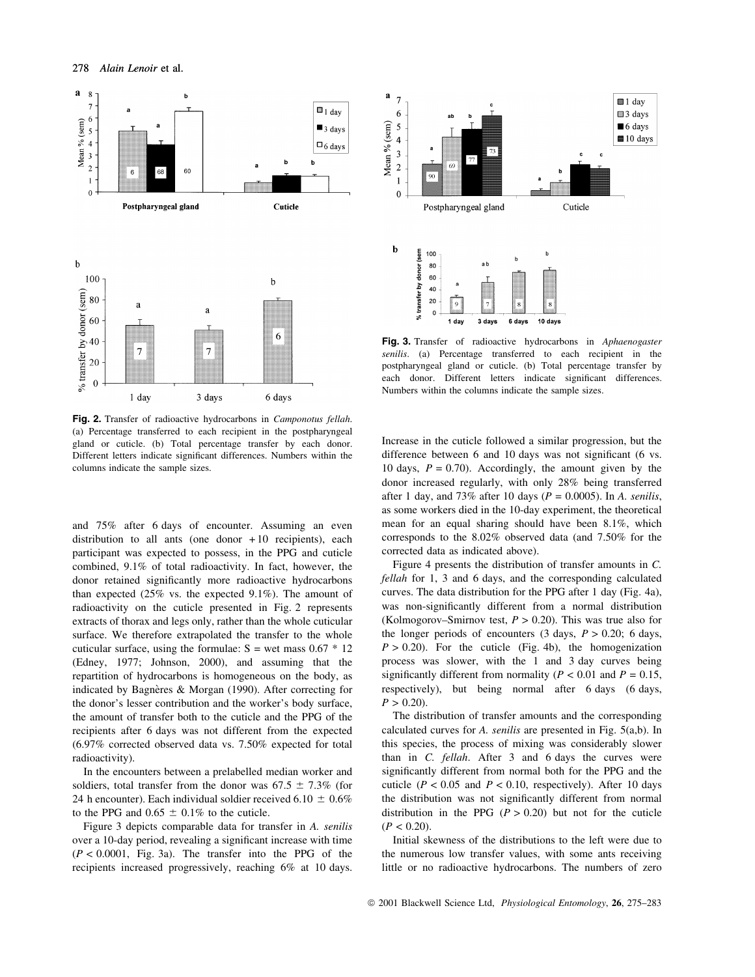

Fig. 2. Transfer of radioactive hydrocarbons in Camponotus fellah. (a) Percentage transferred to each recipient in the postpharyngeal gland or cuticle. (b) Total percentage transfer by each donor. Different letters indicate significant differences. Numbers within the columns indicate the sample sizes.

and 75% after 6 days of encounter. Assuming an even distribution to all ants (one donor  $+10$  recipients), each participant was expected to possess, in the PPG and cuticle combined, 9.1% of total radioactivity. In fact, however, the donor retained significantly more radioactive hydrocarbons than expected (25% vs. the expected 9.1%). The amount of radioactivity on the cuticle presented in Fig. 2 represents extracts of thorax and legs only, rather than the whole cuticular surface. We therefore extrapolated the transfer to the whole cuticular surface, using the formulae:  $S =$  wet mass 0.67  $*$  12 (Edney, 1977; Johnson, 2000), and assuming that the repartition of hydrocarbons is homogeneous on the body, as indicated by Bagnères & Morgan (1990). After correcting for the donor's lesser contribution and the worker's body surface, the amount of transfer both to the cuticle and the PPG of the recipients after 6 days was not different from the expected (6.97% corrected observed data vs. 7.50% expected for total radioactivity).

In the encounters between a prelabelled median worker and soldiers, total transfer from the donor was  $67.5 \pm 7.3\%$  (for 24 h encounter). Each individual soldier received 6.10  $\pm$  0.6% to the PPG and  $0.65 \pm 0.1\%$  to the cuticle.

Figure 3 depicts comparable data for transfer in A. senilis over a 10-day period, revealing a significant increase with time  $(P < 0.0001$ , Fig. 3a). The transfer into the PPG of the recipients increased progressively, reaching 6% at 10 days.



Fig. 3. Transfer of radioactive hydrocarbons in Aphaenogaster senilis. (a) Percentage transferred to each recipient in the postpharyngeal gland or cuticle. (b) Total percentage transfer by each donor. Different letters indicate significant differences. Numbers within the columns indicate the sample sizes.

Increase in the cuticle followed a similar progression, but the difference between  $6$  and  $10$  days was not significant  $(6 \text{ vs.})$ 10 days,  $P = 0.70$ . Accordingly, the amount given by the donor increased regularly, with only 28% being transferred after 1 day, and 73% after 10 days ( $P = 0.0005$ ). In A. senilis, as some workers died in the 10-day experiment, the theoretical mean for an equal sharing should have been 8.1%, which corresponds to the 8.02% observed data (and 7.50% for the corrected data as indicated above).

Figure 4 presents the distribution of transfer amounts in C. fellah for 1, 3 and 6 days, and the corresponding calculated curves. The data distribution for the PPG after 1 day (Fig. 4a), was non-significantly different from a normal distribution (Kolmogorov–Smirnov test,  $P > 0.20$ ). This was true also for the longer periods of encounters  $(3 \text{ days}, P > 0.20; 6 \text{ days},$  $P > 0.20$ ). For the cuticle (Fig. 4b), the homogenization process was slower, with the 1 and 3 day curves being significantly different from normality ( $P < 0.01$  and  $P = 0.15$ , respectively), but being normal after 6 days (6 days,  $P > 0.20$ ).

The distribution of transfer amounts and the corresponding calculated curves for A. senilis are presented in Fig. 5(a,b). In this species, the process of mixing was considerably slower than in C. fellah. After 3 and 6 days the curves were significantly different from normal both for the PPG and the cuticle ( $P < 0.05$  and  $P < 0.10$ , respectively). After 10 days the distribution was not significantly different from normal distribution in the PPG ( $P > 0.20$ ) but not for the cuticle  $(P < 0.20)$ .

Initial skewness of the distributions to the left were due to the numerous low transfer values, with some ants receiving little or no radioactive hydrocarbons. The numbers of zero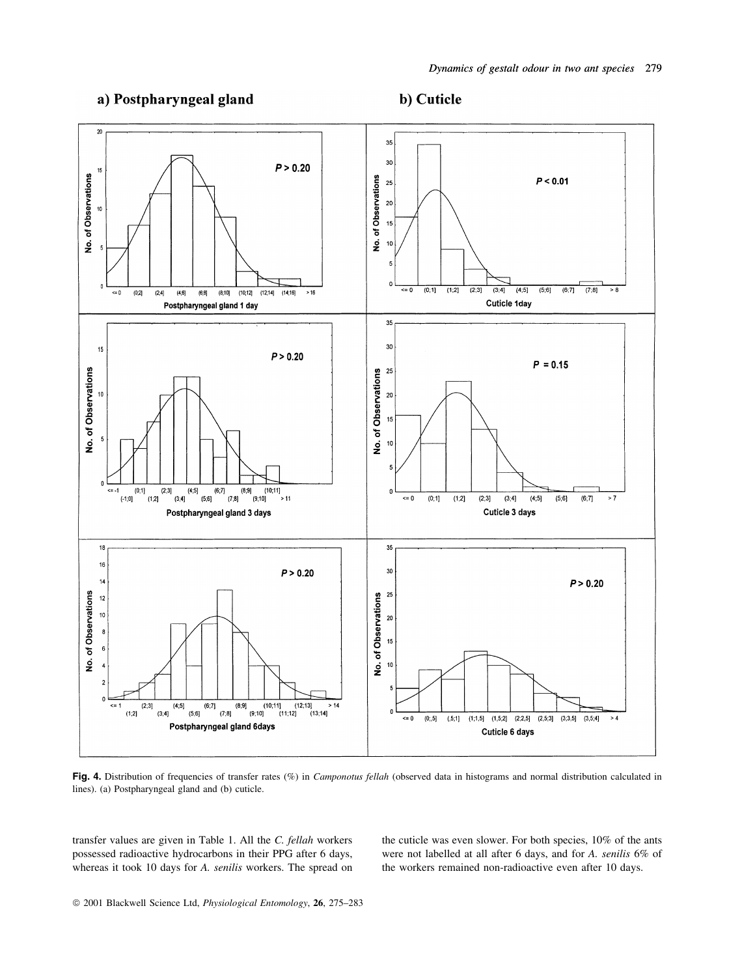# a) Postpharyngeal gland





Fig. 4. Distribution of frequencies of transfer rates (%) in *Camponotus fellah* (observed data in histograms and normal distribution calculated in lines). (a) Postpharyngeal gland and (b) cuticle.

transfer values are given in Table 1. All the C. fellah workers possessed radioactive hydrocarbons in their PPG after 6 days, whereas it took 10 days for A. senilis workers. The spread on

the cuticle was even slower. For both species, 10% of the ants were not labelled at all after 6 days, and for A. senilis 6% of the workers remained non-radioactive even after 10 days.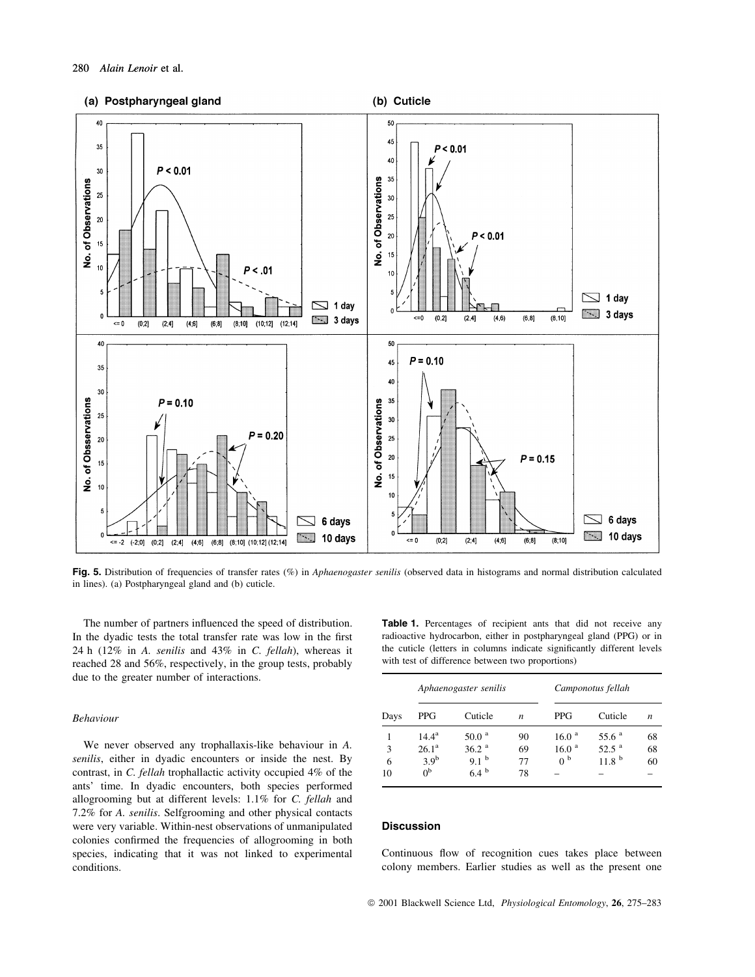

(b) Cuticle



Fig. 5. Distribution of frequencies of transfer rates (%) in *Aphaenogaster senilis* (observed data in histograms and normal distribution calculated in lines). (a) Postpharyngeal gland and (b) cuticle.

The number of partners influenced the speed of distribution. In the dyadic tests the total transfer rate was low in the first 24 h (12% in A. senilis and 43% in C. fellah), whereas it reached 28 and 56%, respectively, in the group tests, probably due to the greater number of interactions.

## Behaviour

We never observed any trophallaxis-like behaviour in A. senilis, either in dyadic encounters or inside the nest. By contrast, in C. fellah trophallactic activity occupied 4% of the ants' time. In dyadic encounters, both species performed allogrooming but at different levels: 1.1% for C. fellah and 7.2% for A. senilis. Selfgrooming and other physical contacts were very variable. Within-nest observations of unmanipulated colonies confirmed the frequencies of allogrooming in both species, indicating that it was not linked to experimental conditions.

Table 1. Percentages of recipient ants that did not receive any radioactive hydrocarbon, either in postpharyngeal gland (PPG) or in the cuticle (letters in columns indicate significantly different levels with test of difference between two proportions)

| Days | Aphaenogaster senilis |                   |    | Camponotus fellah |                   |    |  |
|------|-----------------------|-------------------|----|-------------------|-------------------|----|--|
|      | <b>PPG</b>            | Cuticle           | n  | <b>PPG</b>        | Cuticle           | n  |  |
|      | $14.4^{\rm a}$        | 50.0 <sup>a</sup> | 90 | 16.0 <sup>a</sup> | $55.6^{\text{a}}$ | 68 |  |
| 3    | $26.1^{\rm a}$        | 36.2 <sup>a</sup> | 69 | 16.0 <sup>a</sup> | $52.5^{\text{a}}$ | 68 |  |
| 6    | 3.9 <sup>b</sup>      | 9.1 $^{\rm b}$    | 77 | 0 <sup>b</sup>    | 11.8 <sup>b</sup> | 60 |  |
| 10   | 0 <sup>b</sup>        | $6.4^{b}$         | 78 |                   |                   |    |  |

# Discussion

Continuous flow of recognition cues takes place between colony members. Earlier studies as well as the present one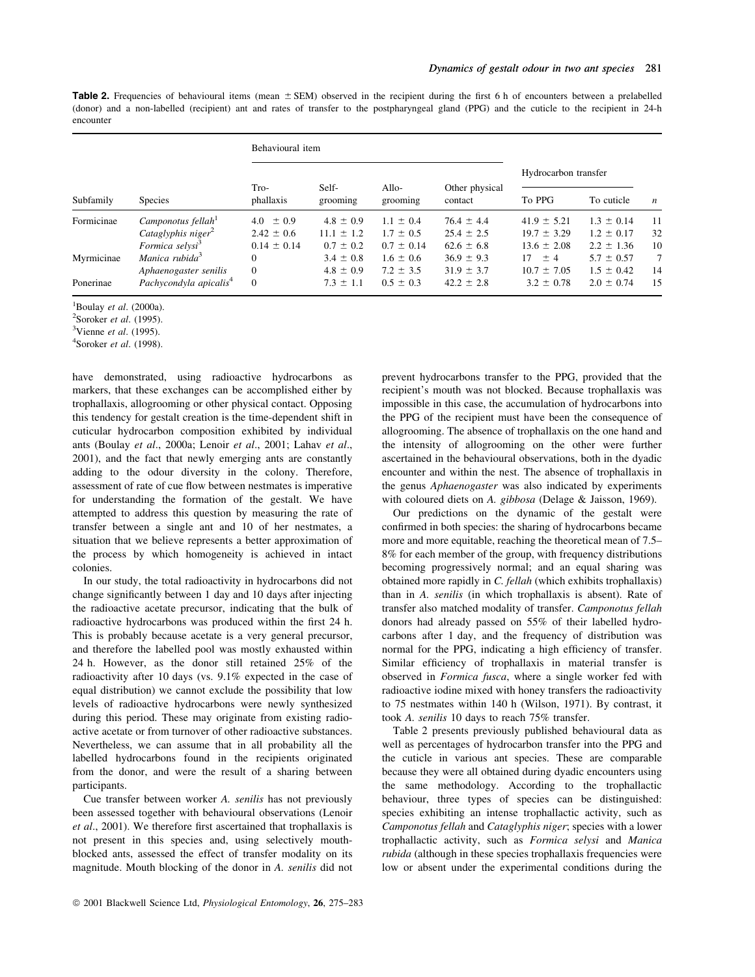Table 2. Frequencies of behavioural items (mean  $\pm$  SEM) observed in the recipient during the first 6 h of encounters between a prelabelled (donor) and a non-labelled (recipient) ant and rates of transfer to the postpharyngeal gland (PPG) and the cuticle to the recipient in 24-h encounter

| Subfamily  | <b>Species</b>                     | Behavioural item |                   |                   |                           |                      |                |                  |
|------------|------------------------------------|------------------|-------------------|-------------------|---------------------------|----------------------|----------------|------------------|
|            |                                    | Tro-             | Self-<br>grooming | Allo-<br>grooming | Other physical<br>contact | Hydrocarbon transfer |                |                  |
|            |                                    | phallaxis        |                   |                   |                           | To PPG               | To cuticle     | $\boldsymbol{n}$ |
| Formicinae | Camponotus fellah <sup>1</sup>     | $4.0 \pm 0.9$    | $4.8 \pm 0.9$     | $1.1 \pm 0.4$     | $76.4 \pm 4.4$            | $41.9 \pm 5.21$      | $1.3 \pm 0.14$ | -11              |
|            | Cataglyphis niger <sup>2</sup>     | $2.42 \pm 0.6$   | $11.1 \pm 1.2$    | $1.7 \pm 0.5$     | $25.4 \pm 2.5$            | $19.7 \pm 3.29$      | $1.2 \pm 0.17$ | 32               |
|            | Formica selvsi <sup>3</sup>        | $0.14 \pm 0.14$  | $0.7 \pm 0.2$     | $0.7 \pm 0.14$    | $62.6 \pm 6.8$            | $13.6 \pm 2.08$      | $2.2 \pm 1.36$ | 10               |
| Myrmicinae | Manica rubida <sup>3</sup>         | $\Omega$         | $3.4 \pm 0.8$     | $1.6 \pm 0.6$     | $36.9 \pm 9.3$            | 17<br>$\pm$ 4        | $5.7 \pm 0.57$ | 7                |
|            | Aphaenogaster senilis              | $\Omega$         | $4.8 \pm 0.9$     | $7.2 \pm 3.5$     | $31.9 \pm 3.7$            | $10.7 \pm 7.05$      | $1.5 \pm 0.42$ | 14               |
| Ponerinae  | Pachycondyla apicalis <sup>4</sup> | $\theta$         | $7.3 \pm 1.1$     | $0.5 \pm 0.3$     | $42.2 \pm 2.8$            | $3.2 \pm 0.78$       | $2.0 \pm 0.74$ | 15               |

<sup>1</sup>Boulay et al. (2000a).

 $^{2}$ Soroker *et al.* (1995).<br><sup>3</sup>Vienne *et al.* (1995).

<sup>3</sup>Vienne et al. (1995).

<sup>4</sup>Soroker et al. (1998).

have demonstrated, using radioactive hydrocarbons as markers, that these exchanges can be accomplished either by trophallaxis, allogrooming or other physical contact. Opposing this tendency for gestalt creation is the time-dependent shift in cuticular hydrocarbon composition exhibited by individual ants (Boulay et al., 2000a; Lenoir et al., 2001; Lahav et al., 2001), and the fact that newly emerging ants are constantly adding to the odour diversity in the colony. Therefore, assessment of rate of cue flow between nestmates is imperative for understanding the formation of the gestalt. We have attempted to address this question by measuring the rate of transfer between a single ant and 10 of her nestmates, a situation that we believe represents a better approximation of the process by which homogeneity is achieved in intact colonies.

In our study, the total radioactivity in hydrocarbons did not change significantly between 1 day and 10 days after injecting the radioactive acetate precursor, indicating that the bulk of radioactive hydrocarbons was produced within the first 24 h. This is probably because acetate is a very general precursor, and therefore the labelled pool was mostly exhausted within 24 h. However, as the donor still retained 25% of the radioactivity after 10 days (vs. 9.1% expected in the case of equal distribution) we cannot exclude the possibility that low levels of radioactive hydrocarbons were newly synthesized during this period. These may originate from existing radioactive acetate or from turnover of other radioactive substances. Nevertheless, we can assume that in all probability all the labelled hydrocarbons found in the recipients originated from the donor, and were the result of a sharing between participants.

Cue transfer between worker A. senilis has not previously been assessed together with behavioural observations (Lenoir  $et al., 2001$ ). We therefore first ascertained that trophallaxis is not present in this species and, using selectively mouthblocked ants, assessed the effect of transfer modality on its magnitude. Mouth blocking of the donor in A. senilis did not prevent hydrocarbons transfer to the PPG, provided that the recipient's mouth was not blocked. Because trophallaxis was impossible in this case, the accumulation of hydrocarbons into the PPG of the recipient must have been the consequence of allogrooming. The absence of trophallaxis on the one hand and the intensity of allogrooming on the other were further ascertained in the behavioural observations, both in the dyadic encounter and within the nest. The absence of trophallaxis in the genus Aphaenogaster was also indicated by experiments with coloured diets on A. gibbosa (Delage & Jaisson, 1969).

Our predictions on the dynamic of the gestalt were confirmed in both species: the sharing of hydrocarbons became more and more equitable, reaching the theoretical mean of  $7.5-$ 8% for each member of the group, with frequency distributions becoming progressively normal; and an equal sharing was obtained more rapidly in C. fellah (which exhibits trophallaxis) than in A. senilis (in which trophallaxis is absent). Rate of transfer also matched modality of transfer. Camponotus fellah donors had already passed on 55% of their labelled hydrocarbons after 1 day, and the frequency of distribution was normal for the PPG, indicating a high efficiency of transfer. Similar efficiency of trophallaxis in material transfer is observed in Formica fusca, where a single worker fed with radioactive iodine mixed with honey transfers the radioactivity to 75 nestmates within 140 h (Wilson, 1971). By contrast, it took A. senilis 10 days to reach 75% transfer.

Table 2 presents previously published behavioural data as well as percentages of hydrocarbon transfer into the PPG and the cuticle in various ant species. These are comparable because they were all obtained during dyadic encounters using the same methodology. According to the trophallactic behaviour, three types of species can be distinguished: species exhibiting an intense trophallactic activity, such as Camponotus fellah and Cataglyphis niger; species with a lower trophallactic activity, such as Formica selysi and Manica rubida (although in these species trophallaxis frequencies were low or absent under the experimental conditions during the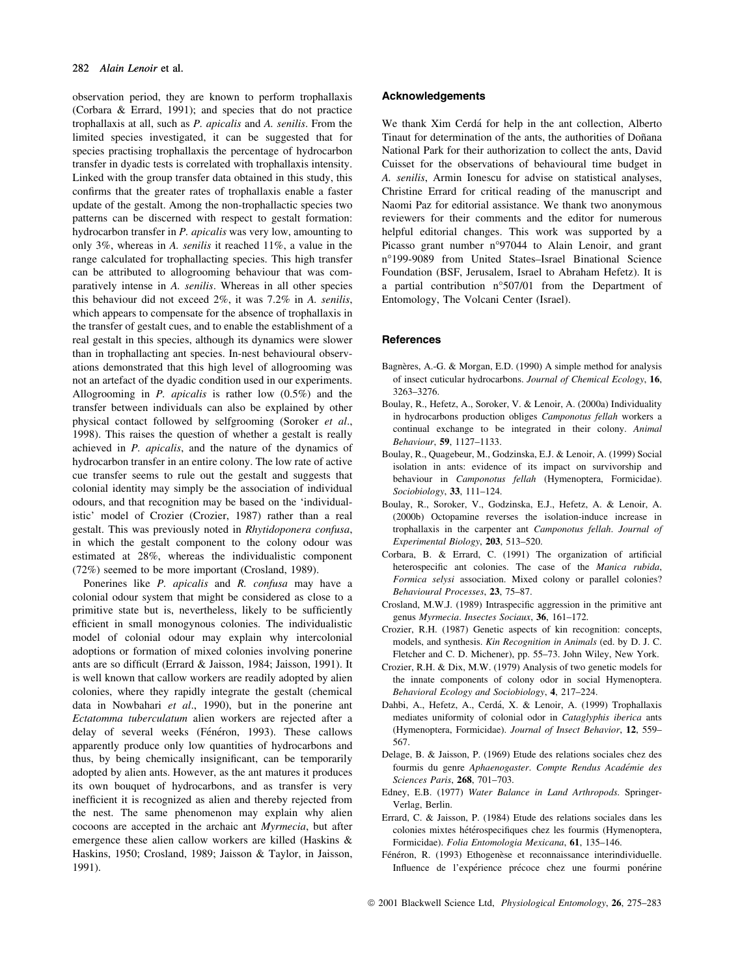observation period, they are known to perform trophallaxis (Corbara & Errard, 1991); and species that do not practice trophallaxis at all, such as P. apicalis and A. senilis. From the limited species investigated, it can be suggested that for species practising trophallaxis the percentage of hydrocarbon transfer in dyadic tests is correlated with trophallaxis intensity. Linked with the group transfer data obtained in this study, this confirms that the greater rates of trophallaxis enable a faster update of the gestalt. Among the non-trophallactic species two patterns can be discerned with respect to gestalt formation: hydrocarbon transfer in P. apicalis was very low, amounting to only 3%, whereas in A. senilis it reached 11%, a value in the range calculated for trophallacting species. This high transfer can be attributed to allogrooming behaviour that was comparatively intense in A. senilis. Whereas in all other species this behaviour did not exceed 2%, it was 7.2% in A. senilis, which appears to compensate for the absence of trophallaxis in the transfer of gestalt cues, and to enable the establishment of a real gestalt in this species, although its dynamics were slower than in trophallacting ant species. In-nest behavioural observations demonstrated that this high level of allogrooming was not an artefact of the dyadic condition used in our experiments. Allogrooming in  $P$ . *apicalis* is rather low  $(0.5\%)$  and the transfer between individuals can also be explained by other physical contact followed by selfgrooming (Soroker et al., 1998). This raises the question of whether a gestalt is really achieved in P. apicalis, and the nature of the dynamics of hydrocarbon transfer in an entire colony. The low rate of active cue transfer seems to rule out the gestalt and suggests that colonial identity may simply be the association of individual odours, and that recognition may be based on the `individualistic' model of Crozier (Crozier, 1987) rather than a real gestalt. This was previously noted in Rhytidoponera confusa, in which the gestalt component to the colony odour was estimated at 28%, whereas the individualistic component (72%) seemed to be more important (Crosland, 1989).

Ponerines like P. apicalis and R. confusa may have a colonial odour system that might be considered as close to a primitive state but is, nevertheless, likely to be sufficiently efficient in small monogynous colonies. The individualistic model of colonial odour may explain why intercolonial adoptions or formation of mixed colonies involving ponerine ants are so difficult (Errard & Jaisson, 1984; Jaisson, 1991). It is well known that callow workers are readily adopted by alien colonies, where they rapidly integrate the gestalt (chemical data in Nowbahari et al., 1990), but in the ponerine ant Ectatomma tuberculatum alien workers are rejected after a delay of several weeks (Fénéron, 1993). These callows apparently produce only low quantities of hydrocarbons and thus, by being chemically insignificant, can be temporarily adopted by alien ants. However, as the ant matures it produces its own bouquet of hydrocarbons, and as transfer is very inefficient it is recognized as alien and thereby rejected from the nest. The same phenomenon may explain why alien cocoons are accepted in the archaic ant Myrmecia, but after emergence these alien callow workers are killed (Haskins & Haskins, 1950; Crosland, 1989; Jaisson & Taylor, in Jaisson, 1991).

#### Acknowledgements

We thank Xim Cerdá for help in the ant collection, Alberto Tinaut for determination of the ants, the authorities of Doñana National Park for their authorization to collect the ants, David Cuisset for the observations of behavioural time budget in A. senilis, Armin Ionescu for advise on statistical analyses, Christine Errard for critical reading of the manuscript and Naomi Paz for editorial assistance. We thank two anonymous reviewers for their comments and the editor for numerous helpful editorial changes. This work was supported by a Picasso grant number n°97044 to Alain Lenoir, and grant n°199-9089 from United States-Israel Binational Science Foundation (BSF, Jerusalem, Israel to Abraham Hefetz). It is a partial contribution n°507/01 from the Department of Entomology, The Volcani Center (Israel).

## **References**

- Bagnères, A.-G. & Morgan, E.D. (1990) A simple method for analysis of insect cuticular hydrocarbons. Journal of Chemical Ecology, 16, 3263±3276.
- Boulay, R., Hefetz, A., Soroker, V. & Lenoir, A. (2000a) Individuality in hydrocarbons production obliges Camponotus fellah workers a continual exchange to be integrated in their colony. Animal Behaviour, 59, 1127-1133.
- Boulay, R., Quagebeur, M., Godzinska, E.J. & Lenoir, A. (1999) Social isolation in ants: evidence of its impact on survivorship and behaviour in Camponotus fellah (Hymenoptera, Formicidae). Sociobiology, 33, 111-124.
- Boulay, R., Soroker, V., Godzinska, E.J., Hefetz, A. & Lenoir, A. (2000b) Octopamine reverses the isolation-induce increase in trophallaxis in the carpenter ant Camponotus fellah. Journal of Experimental Biology, 203, 513-520.
- Corbara, B. & Errard, C. (1991) The organization of artificial heterospecific ant colonies. The case of the Manica rubida, Formica selysi association. Mixed colony or parallel colonies? Behavioural Processes, 23, 75-87.
- Crosland, M.W.J. (1989) Intraspecific aggression in the primitive ant genus Myrmecia. Insectes Sociaux, 36, 161-172.
- Crozier, R.H. (1987) Genetic aspects of kin recognition: concepts, models, and synthesis. Kin Recognition in Animals (ed. by D. J. C. Fletcher and C. D. Michener), pp. 55-73. John Wiley, New York.
- Crozier, R.H. & Dix, M.W. (1979) Analysis of two genetic models for the innate components of colony odor in social Hymenoptera. Behavioral Ecology and Sociobiology, 4, 217-224.
- Dahbi, A., Hefetz, A., Cerdá, X. & Lenoir, A. (1999) Trophallaxis mediates uniformity of colonial odor in Cataglyphis iberica ants (Hymenoptera, Formicidae). Journal of Insect Behavior, 12, 559-567.
- Delage, B. & Jaisson, P. (1969) Etude des relations sociales chez des fourmis du genre Aphaenogaster. Compte Rendus Académie des Sciences Paris, 268, 701-703.
- Edney, E.B. (1977) Water Balance in Land Arthropods. Springer-Verlag, Berlin.
- Errard, C. & Jaisson, P. (1984) Etude des relations sociales dans les colonies mixtes hétérospecifiques chez les fourmis (Hymenoptera, Formicidae). Folia Entomologia Mexicana, 61, 135-146.
- Fénéron, R. (1993) Ethogenèse et reconnaissance interindividuelle. Influence de l'expérience précoce chez une fourmi ponérine